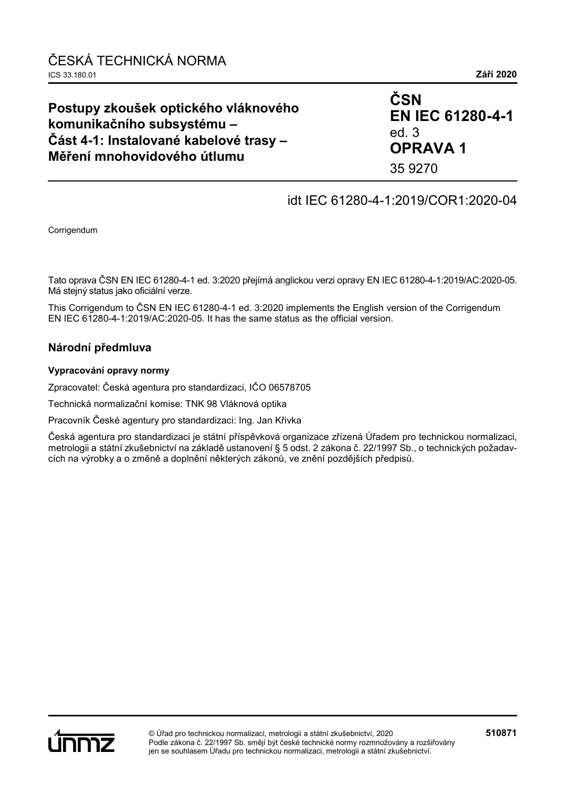| Postupy zkoušek optického vláknového<br>komunikačního subsystému –<br>Část 4-1: Instalované kabelové trasy -<br>Měření mnohovidového útlumu | <b>CSN</b><br><b>EN IEC 61280-4-1</b><br>ed. $3$<br><b>OPRAVA1</b> |
|---------------------------------------------------------------------------------------------------------------------------------------------|--------------------------------------------------------------------|
|                                                                                                                                             | 35 9270                                                            |

### idt IEC 61280-4-1:2019/COR1:2020-04

Corrigendum

Tato oprava ČSN EN IEC 61280-4-1 ed. 3:2020 přejímá anglickou verzi opravy EN IEC 61280-4-1:2019/AC:2020-05. Má stejný status jako oficiální verze.

This Corrigendum to ČSN EN IEC 61280-4-1 ed. 3:2020 implements the English version of the Corrigendum EN IEC 61280-4-1:2019/AC:2020-05. It has the same status as the official version.

#### **Národní předmluva**

#### **Vypracování opravy normy**

Zpracovatel: Česká agentura pro standardizaci, IČO 06578705

Technická normalizační komise: TNK 98 Vláknová optika

Pracovník České agentury pro standardizaci: Ing. Jan Křivka

Česká agentura pro standardizaci je státní příspěvková organizace zřízená Úřadem pro technickou normalizaci, metrologii a státní zkušebnictví na základě ustanovení § 5 odst. 2 zákona č. 22/1997 Sb., o technických požadavcích na výrobky a o změně a doplnění některých zákonů, ve znění pozdějších předpisů.

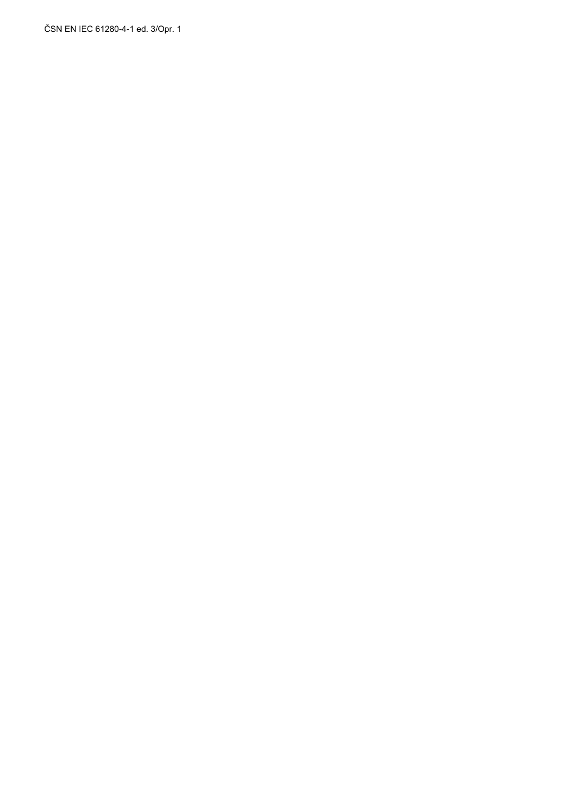ČSN EN IEC 61280-4-1 ed. 3/Opr. 1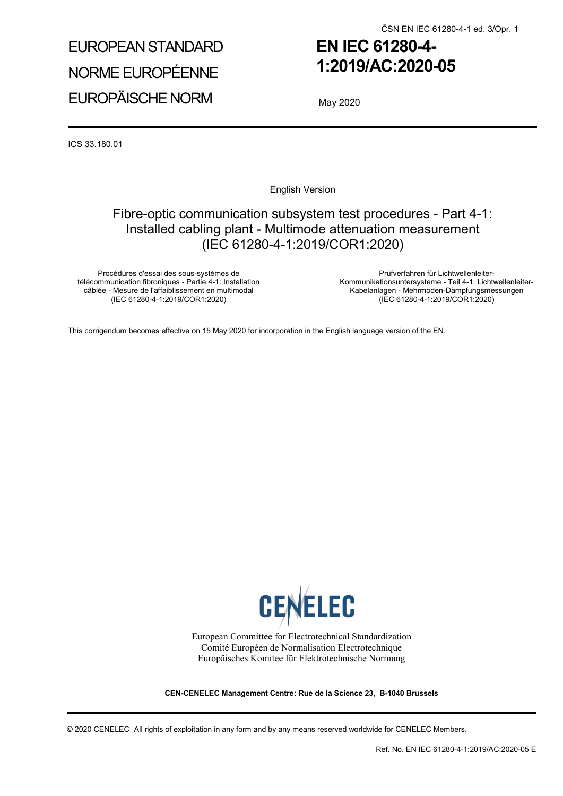# EUROPEAN STANDARD NORME EUROPÉENNE EUROPÄISCHE NORM

## **EN IEC 61280-4- 1:2019/AC:2020-05**

May 2020

ICS 33.180.01

English Version

### Fibre-optic communication subsystem test procedures - Part 4-1: Installed cabling plant - Multimode attenuation measurement (IEC 61280-4-1:2019/COR1:2020)

Procédures d'essai des sous-systèmes de télécommunication fibroniques - Partie 4-1: Installation câblée - Mesure de l'affaiblissement en multimodal (IEC 61280-4-1:2019/COR1:2020)

 Prüfverfahren für Lichtwellenleiter-Kommunikationsuntersysteme - Teil 4-1: Lichtwellenleiter-Kabelanlagen - Mehrmoden-Dämpfungsmessungen (IEC 61280-4-1:2019/COR1:2020)

This corrigendum becomes effective on 15 May 2020 for incorporation in the English language version of the EN.



European Committee for Electrotechnical Standardization Comité Européen de Normalisation Electrotechnique Europäisches Komitee für Elektrotechnische Normung

**CEN-CENELEC Management Centre: Rue de la Science 23, B-1040 Brussels** 

© 2020 CENELEC All rights of exploitation in any form and by any means reserved worldwide for CENELEC Members.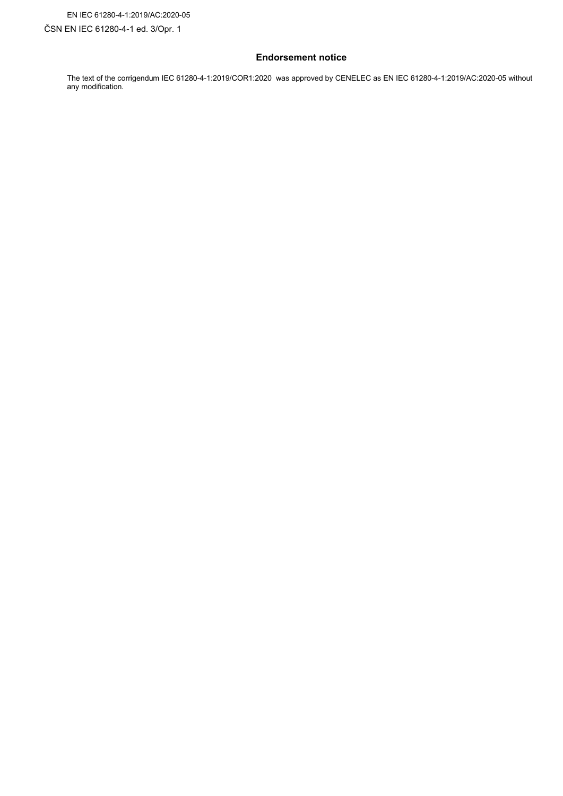EN IEC 61280-4-1:2019/AC:2020-05

ČSN EN IEC 61280-4-1 ed. 3/Opr. 1

#### **Endorsement notice**

The text of the corrigendum IEC 61280-4-1:2019/COR1:2020 was approved by CENELEC as EN IEC 61280-4-1:2019/AC:2020-05 without any modification.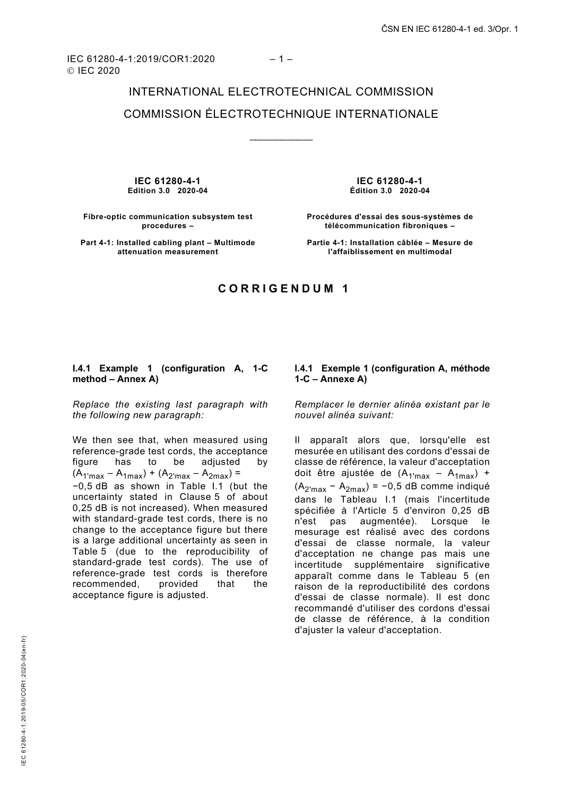IEC 61280-4-1:2019/COR1:2020 – 1 – © IEC 2020

## INTERNATIONAL ELECTROTECHNICAL COMMISSION COMMISSION ÉLECTROTECHNIQUE INTERNATIONALE

\_\_\_\_\_\_\_\_\_\_\_\_

**IEC 61280-4-1 Edition 3.0 2020-04** 

**Fibre-optic communication subsystem test procedures –** 

**Part 4-1: Installed cabling plant – Multimode attenuation measurement**

**IEC 61280-4-1 Édition 3.0 2020-04** 

**Procédures d'essai des sous-systèmes de télécommunication fibroniques –** 

**Partie 4-1: Installation câblée – Mesure de l'affaiblissement en multimodal**

#### **CORRIGENDUM 1**

#### **I.4.1 Example 1 (configuration A, 1-C method – Annex A)**

*Replace the existing last paragraph with the following new paragraph:*

We then see that, when measured using reference-grade test cords, the acceptance figure has to be adjusted by  $(A_{1'max} - A_{1max}) + (A_{2'max} - A_{2max}) =$ −0,5 dB as shown in Table I.1 (but the uncertainty stated in Clause 5 of about 0,25 dB is not increased). When measured with standard-grade test cords, there is no change to the acceptance figure but there is a large additional uncertainty as seen in Table 5 (due to the reproducibility of standard-grade test cords). The use of reference-grade test cords is therefore recommended, provided that the acceptance figure is adjusted.

#### **I.4.1 Exemple 1 (configuration A, méthode 1-C – Annexe A)**

*Remplacer le dernier alinéa existant par le nouvel alinéa suivant:*

Il apparaît alors que, lorsqu'elle est mesurée en utilisant des cordons d'essai de classe de référence, la valeur d'acceptation doit être ajustée de  $(A_{1'max} - A_{1max})$  + (A2'max − A2max) = −0,5 dB comme indiqué dans le Tableau I.1 (mais l'incertitude spécifiée à l'Article 5 d'environ 0,25 dB n'est pas augmentée). Lorsque le mesurage est réalisé avec des cordons d'essai de classe normale, la valeur d'acceptation ne change pas mais une incertitude supplémentaire significative apparaît comme dans le Tableau 5 (en raison de la reproductibilité des cordons d'essai de classe normale). Il est donc recommandé d'utiliser des cordons d'essai de classe de référence, à la condition d'ajuster la valeur d'acceptation.